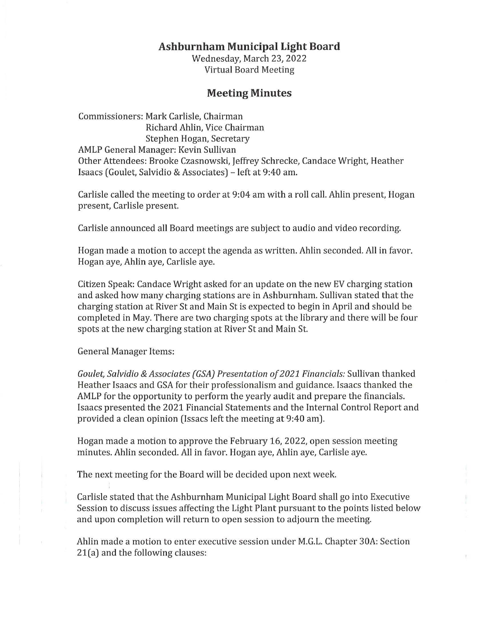## **Ashburnham Municipal Light Board**

Wednesday, March 23, 2022 Virtual Board Meeting

## **Meeting Minutes**

Commissioners: Mark Carlisle, Chairman Richard Ahlin, Vice Chairman Stephen Hogan, Secretary AMLP General Manager: Kevin Sullivan Other Attendees: Brooke Czasnowski, Jeffrey Schrecke, Candace Wright, Heather Isaacs (Goulet, Salvidio & Associates) - left at 9:40 am.

Carlisle called the meeting to order at 9:04 am with a roll call. Ahlin present, Hogan present, Carlisle present.

Carlisle announced all Board meetings are subject to audio and video recording.

Hogan made a motion to accept the agenda as written. Ahlin seconded. All in favor. Hogan aye, Ahlin aye, Carlisle aye.

Citizen Speak: Candace Wright asked for an update on the new EV charging station and asked how many charging stations are in Ashburnham. Sullivan stated that the charging station at River St and Main St is expected to begin in April and should be completed in May. There are two charging spots at the library and there will be four spots at the new charging station at River St and Main St.

General Manager Items:

*Goulet, Salvidio* &*Associates (GSA) Presentation of 2021 Financials:* Sullivan thanked Heather Isaacs and GSA for their professionalism and guidance. Isaacs thanked the AMLP for the opportunity to perform the yearly audit and prepare the financials. Isaacs presented the 2021 Financial Statements and the Internal Control Report and provided a clean opinion (Issacs left the meeting at 9:40 am).

Hogan made a motion to approve the February 16, 2022, open session meeting minutes. Ahlin seconded. All in favor. Hogan aye, Ahlin aye, Carlisle aye.

The next meeting for the Board will be decided upon next week.

Carlisle stated that the Ashburnham Municipal Light Board shall go into Executive Session to discuss issues affecting the Light Plant pursuant to the points listed below and upon completion will return to open session to adjourn the meeting.

Ahlin made a motion to enter executive session under M.G.L. Chapter 30A: Section 21(a) and the following clauses: